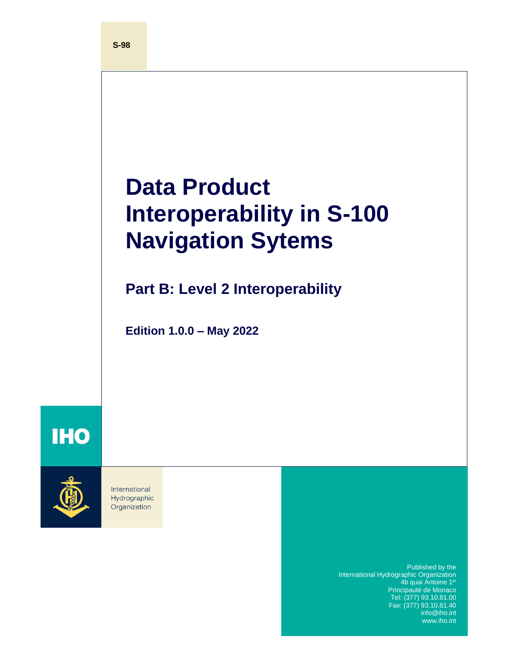

**Part B: Level 2 Interoperability**

**Edition 1.0.0 – May 2022**





International Hydrographic Organization

> Published by the International Hydrographic Organization 4b quai Antoine 1er Principauté de Monaco Tel: (377) 93.10.81.00 Fax: (377) 93.10.81.40 info@iho.int www.iho.int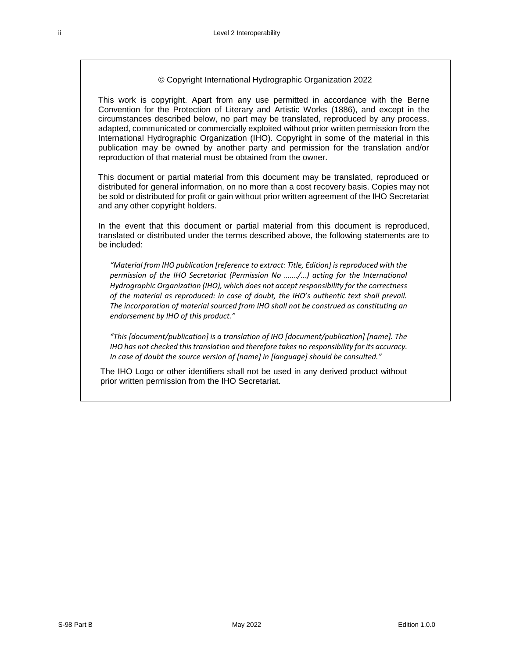#### © Copyright International Hydrographic Organization 2022

This work is copyright. Apart from any use permitted in accordance with the [Berne](http://www.wipo.int/treaties/en/ip/berne/trtdocs_wo001.html)  [Convention for the Protection of Literary and Artistic Works](http://www.wipo.int/treaties/en/ip/berne/trtdocs_wo001.html) (1886), and except in the circumstances described below, no part may be translated, reproduced by any process, adapted, communicated or commercially exploited without prior written permission from the International Hydrographic Organization (IHO). Copyright in some of the material in this publication may be owned by another party and permission for the translation and/or reproduction of that material must be obtained from the owner.

This document or partial material from this document may be translated, reproduced or distributed for general information, on no more than a cost recovery basis. Copies may not be sold or distributed for profit or gain without prior written agreement of the IHO Secretariat and any other copyright holders.

In the event that this document or partial material from this document is reproduced, translated or distributed under the terms described above, the following statements are to be included:

*"Material from IHO publication [reference to extract: Title, Edition] is reproduced with the permission of the IHO Secretariat (Permission No ……./…) acting for the International Hydrographic Organization (IHO), which does not accept responsibility for the correctness of the material as reproduced: in case of doubt, the IHO's authentic text shall prevail. The incorporation of material sourced from IHO shall not be construed as constituting an endorsement by IHO of this product."* 

*"This [document/publication] is a translation of IHO [document/publication] [name]. The IHO has not checked this translation and therefore takes no responsibility for its accuracy. In case of doubt the source version of [name] in [language] should be consulted."*

The IHO Logo or other identifiers shall not be used in any derived product without prior written permission from the IHO Secretariat.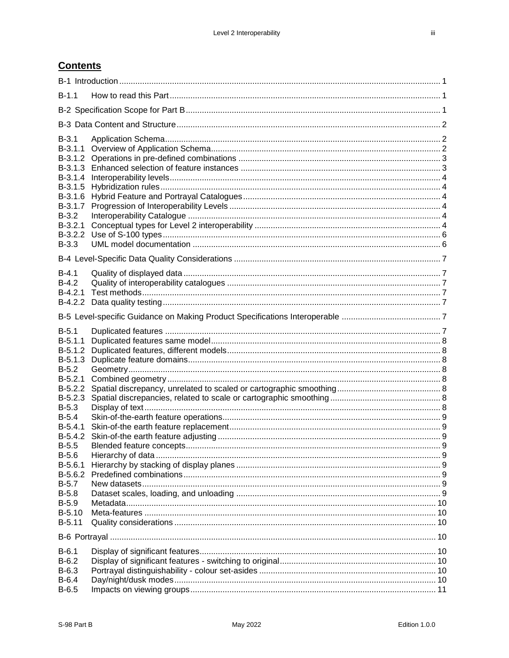# **Contents**

| $B-1.1$<br>$B-3.1$<br>$B-3.1.1$<br>B-3.1.2<br>$B-3.1.4$<br>$B-3.1.5$<br>$B-3.1.6$<br>$B-3.1.7$<br>$B-3.2$<br>$B-3.2.1$<br>$B-3.2.2$<br>$B-3.3$<br>$B-4.1$<br>B-4.2<br>$B-4.2.1$<br>$B-5.1$<br>$B-5.1.1$<br>$B-5.1.2$<br>$B-5.1.3$<br>$B-5.2$<br>$B-5.2.1$<br>$B-5.2.2$<br>$B-5.2.3$<br>$B-5.3$<br>B-5.4<br>B-5.4.1<br>$B-5.4.2$<br>$B-5.5$<br>$B-5.6$<br>$B-5.6.1$<br>$B-5.6.2$<br>$B-5.7$<br>$B-5.8$<br>$B-5.9$<br>$B-5.10$<br>$B-5.11$<br>$B-6.1$<br>$B-6.2$<br>$B-6.3$<br>$B-6.4$ |         |  |
|--------------------------------------------------------------------------------------------------------------------------------------------------------------------------------------------------------------------------------------------------------------------------------------------------------------------------------------------------------------------------------------------------------------------------------------------------------------------------------------|---------|--|
|                                                                                                                                                                                                                                                                                                                                                                                                                                                                                      |         |  |
|                                                                                                                                                                                                                                                                                                                                                                                                                                                                                      |         |  |
|                                                                                                                                                                                                                                                                                                                                                                                                                                                                                      |         |  |
|                                                                                                                                                                                                                                                                                                                                                                                                                                                                                      |         |  |
|                                                                                                                                                                                                                                                                                                                                                                                                                                                                                      |         |  |
|                                                                                                                                                                                                                                                                                                                                                                                                                                                                                      |         |  |
|                                                                                                                                                                                                                                                                                                                                                                                                                                                                                      |         |  |
|                                                                                                                                                                                                                                                                                                                                                                                                                                                                                      |         |  |
|                                                                                                                                                                                                                                                                                                                                                                                                                                                                                      |         |  |
|                                                                                                                                                                                                                                                                                                                                                                                                                                                                                      |         |  |
|                                                                                                                                                                                                                                                                                                                                                                                                                                                                                      |         |  |
|                                                                                                                                                                                                                                                                                                                                                                                                                                                                                      |         |  |
|                                                                                                                                                                                                                                                                                                                                                                                                                                                                                      |         |  |
|                                                                                                                                                                                                                                                                                                                                                                                                                                                                                      | $B-6.5$ |  |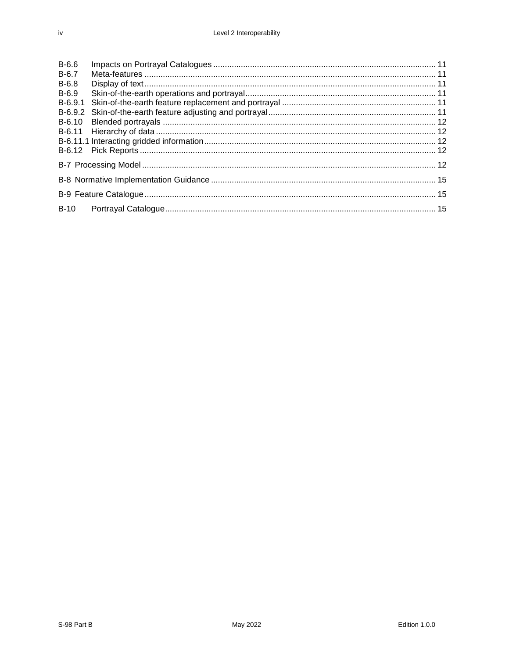| $B-6.6$   |  |  |  |
|-----------|--|--|--|
| $B-6.7$   |  |  |  |
| $B-6.8$   |  |  |  |
| B-6.9     |  |  |  |
| $B-6.9.1$ |  |  |  |
| B-6.9.2   |  |  |  |
|           |  |  |  |
|           |  |  |  |
|           |  |  |  |
|           |  |  |  |
|           |  |  |  |
|           |  |  |  |
|           |  |  |  |
| $B-10$    |  |  |  |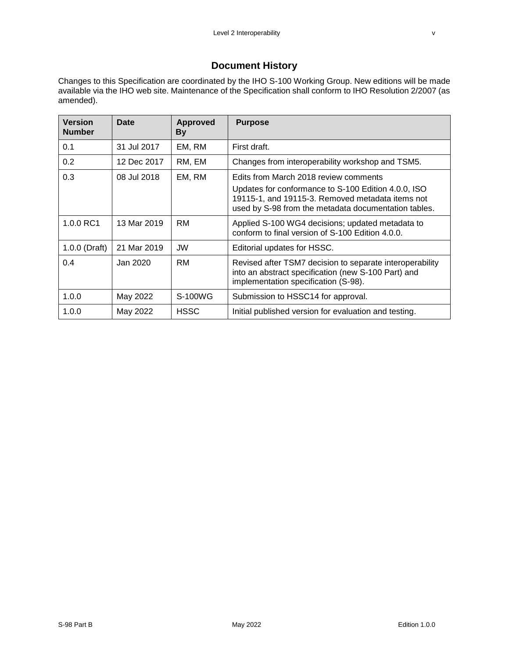# **Document History**

Changes to this Specification are coordinated by the IHO S-100 Working Group. New editions will be made available via the IHO web site. Maintenance of the Specification shall conform to IHO Resolution 2/2007 (as amended).

| <b>Version</b><br><b>Number</b>       | Date        | <b>Approved</b><br><b>By</b> | <b>Purpose</b>                                                                                                                                                  |  |
|---------------------------------------|-------------|------------------------------|-----------------------------------------------------------------------------------------------------------------------------------------------------------------|--|
| 0.1                                   | 31 Jul 2017 | EM, RM                       | First draft.                                                                                                                                                    |  |
| 0.2                                   | 12 Dec 2017 | RM, EM                       | Changes from interoperability workshop and TSM5.                                                                                                                |  |
| 0.3                                   | 08 Jul 2018 | EM, RM                       | Edits from March 2018 review comments                                                                                                                           |  |
|                                       |             |                              | Updates for conformance to S-100 Edition 4.0.0, ISO<br>19115-1, and 19115-3. Removed metadata items not<br>used by S-98 from the metadata documentation tables. |  |
| 1.0.0 RC1<br>13 Mar 2019<br><b>RM</b> |             |                              | Applied S-100 WG4 decisions; updated metadata to<br>conform to final version of S-100 Edition 4.0.0.                                                            |  |
| 1.0.0 (Draft)                         | 21 Mar 2019 | <b>JW</b>                    | Editorial updates for HSSC.                                                                                                                                     |  |
| 0.4                                   | Jan 2020    | RM                           | Revised after TSM7 decision to separate interoperability<br>into an abstract specification (new S-100 Part) and<br>implementation specification (S-98).         |  |
| 1.0.0                                 | May 2022    | S-100WG                      | Submission to HSSC14 for approval.                                                                                                                              |  |
| 1.0.0                                 | May 2022    | <b>HSSC</b>                  | Initial published version for evaluation and testing.                                                                                                           |  |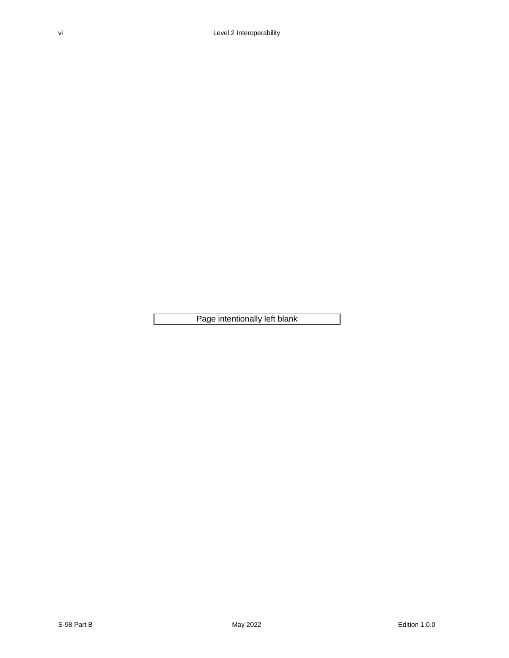Page intentionally left blank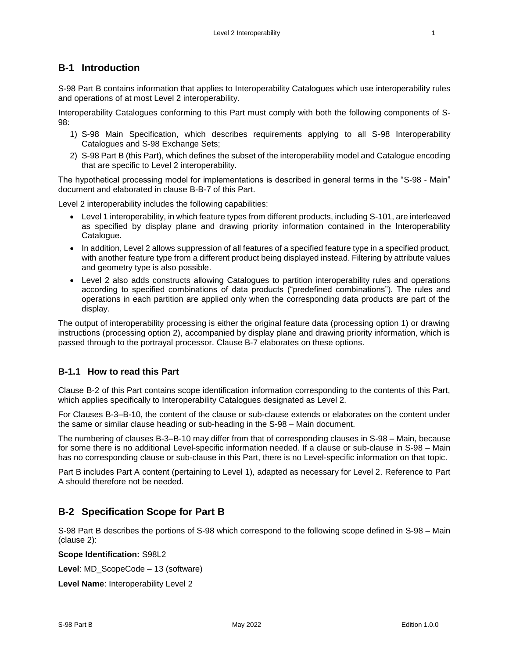## <span id="page-6-0"></span>**B-1 Introduction**

S-98 Part B contains information that applies to Interoperability Catalogues which use interoperability rules and operations of at most Level 2 interoperability.

Interoperability Catalogues conforming to this Part must comply with both the following components of S-98:

- 1) S-98 Main Specification, which describes requirements applying to all S-98 Interoperability Catalogues and S-98 Exchange Sets;
- 2) S-98 Part B (this Part), which defines the subset of the interoperability model and Catalogue encoding that are specific to Level 2 interoperability.

The hypothetical processing model for implementations is described in general terms in the "S-98 - Main" document and elaborated in clause B[-B-7](#page-17-4) of this Part.

Level 2 interoperability includes the following capabilities:

- Level 1 interoperability, in which feature types from different products, including S-101, are interleaved as specified by display plane and drawing priority information contained in the Interoperability Catalogue.
- In addition, Level 2 allows suppression of all features of a specified feature type in a specified product, with another feature type from a different product being displayed instead. Filtering by attribute values and geometry type is also possible.
- Level 2 also adds constructs allowing Catalogues to partition interoperability rules and operations according to specified combinations of data products ("predefined combinations"). The rules and operations in each partition are applied only when the corresponding data products are part of the display.

The output of interoperability processing is either the original feature data (processing option 1) or drawing instructions (processing option 2), accompanied by display plane and drawing priority information, which is passed through to the portrayal processor. Clause B-7 elaborates on these options.

## <span id="page-6-1"></span>**B-1.1 How to read this Part**

Clause B-2 of this Part contains scope identification information corresponding to the contents of this Part, which applies specifically to Interoperability Catalogues designated as Level 2.

For Clauses B-3–B-10, the content of the clause or sub-clause extends or elaborates on the content under the same or similar clause heading or sub-heading in the S-98 – Main document.

The numbering of clauses B-3–B-10 may differ from that of corresponding clauses in S-98 – Main, because for some there is no additional Level-specific information needed. If a clause or sub-clause in S-98 – Main has no corresponding clause or sub-clause in this Part, there is no Level-specific information on that topic.

Part B includes Part A content (pertaining to Level 1), adapted as necessary for Level 2. Reference to Part A should therefore not be needed.

## <span id="page-6-2"></span>**B-2 Specification Scope for Part B**

S-98 Part B describes the portions of S-98 which correspond to the following scope defined in S-98 – Main (clause 2):

**Scope Identification:** S98L2

**Level:** MD ScopeCode – 13 (software)

**Level Name**: Interoperability Level 2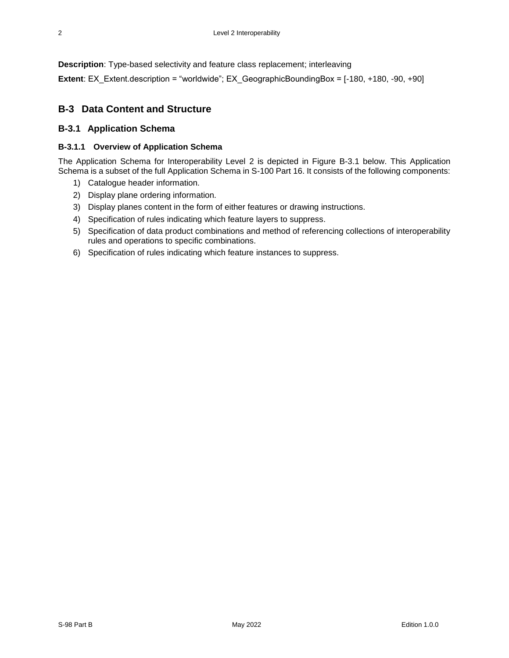**Description**: Type-based selectivity and feature class replacement; interleaving

**Extent**: EX\_Extent.description = "worldwide"; EX\_GeographicBoundingBox = [-180, +180, -90, +90]

## <span id="page-7-0"></span>**B-3 Data Content and Structure**

### <span id="page-7-1"></span>**B-3.1 Application Schema**

#### <span id="page-7-2"></span>**B-3.1.1 Overview of Application Schema**

The Application Schema for Interoperability Level 2 is depicted in Figure B-3.1 below. This Application Schema is a subset of the full Application Schema in S-100 Part 16. It consists of the following components:

- 1) Catalogue header information.
- 2) Display plane ordering information.
- 3) Display planes content in the form of either features or drawing instructions.
- 4) Specification of rules indicating which feature layers to suppress.
- 5) Specification of data product combinations and method of referencing collections of interoperability rules and operations to specific combinations.
- 6) Specification of rules indicating which feature instances to suppress.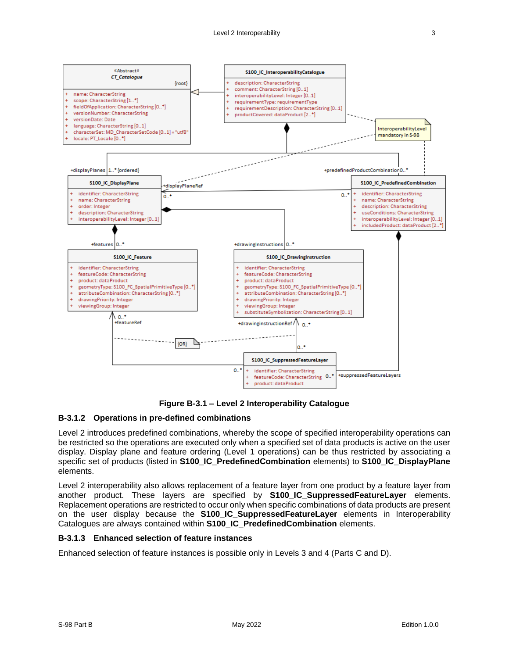

**Figure B-3.1 – Level 2 Interoperability Catalogue**

## <span id="page-8-0"></span>**B-3.1.2 Operations in pre-defined combinations**

Level 2 introduces predefined combinations, whereby the scope of specified interoperability operations can be restricted so the operations are executed only when a specified set of data products is active on the user display. Display plane and feature ordering (Level 1 operations) can be thus restricted by associating a specific set of products (listed in **S100\_IC\_PredefinedCombination** elements) to **S100\_IC\_DisplayPlane** elements.

Level 2 interoperability also allows replacement of a feature layer from one product by a feature layer from another product. These layers are specified by **S100\_IC\_SuppressedFeatureLayer** elements. Replacement operations are restricted to occur only when specific combinations of data products are present on the user display because the **S100\_IC\_SuppressedFeatureLayer** elements in Interoperability Catalogues are always contained within **S100\_IC\_PredefinedCombination** elements.

## <span id="page-8-1"></span>**B-3.1.3 Enhanced selection of feature instances**

Enhanced selection of feature instances is possible only in Levels 3 and 4 (Parts C and D).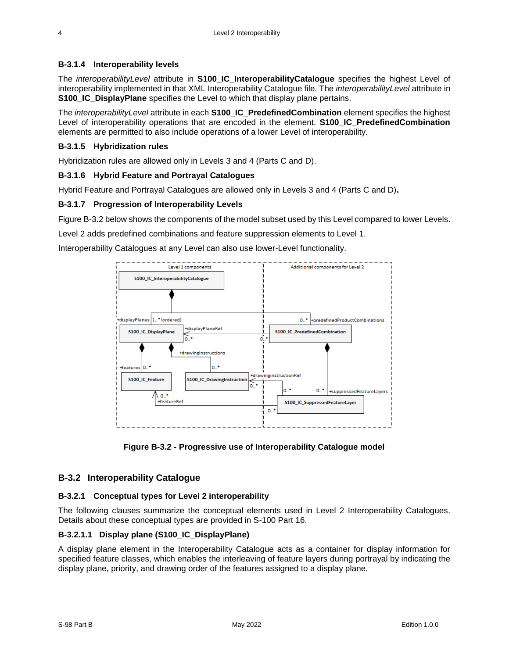#### <span id="page-9-0"></span>**B-3.1.4 Interoperability levels**

The *interoperabilityLevel* attribute in **S100\_IC\_InteroperabilityCatalogue** specifies the highest Level of interoperability implemented in that XML Interoperability Catalogue file. The *interoperabilityLevel* attribute in **S100 IC DisplayPlane** specifies the Level to which that display plane pertains.

The *interoperabilityLevel* attribute in each **S100\_IC\_PredefinedCombination** element specifies the highest Level of interoperability operations that are encoded in the element. **S100\_IC\_PredefinedCombination** elements are permitted to also include operations of a lower Level of interoperability.

#### <span id="page-9-1"></span>**B-3.1.5 Hybridization rules**

Hybridization rules are allowed only in Levels 3 and 4 (Parts C and D).

#### <span id="page-9-2"></span>**B-3.1.6 Hybrid Feature and Portrayal Catalogues**

Hybrid Feature and Portrayal Catalogues are allowed only in Levels 3 and 4 (Parts C and D)**.**

#### <span id="page-9-3"></span>**B-3.1.7 Progression of Interoperability Levels**

Figure B-3.2 below shows the components of the model subset used by this Level compared to lower Levels.

Level 2 adds predefined combinations and feature suppression elements to Level 1.

Interoperability Catalogues at any Level can also use lower-Level functionality.



**Figure B-3.2 - Progressive use of Interoperability Catalogue model**

## <span id="page-9-4"></span>**B-3.2 Interoperability Catalogue**

#### <span id="page-9-5"></span>**B-3.2.1 Conceptual types for Level 2 interoperability**

The following clauses summarize the conceptual elements used in Level 2 Interoperability Catalogues. Details about these conceptual types are provided in S-100 Part 16.

#### **B-3.2.1.1 Display plane (S100\_IC\_DisplayPlane)**

A display plane element in the Interoperability Catalogue acts as a container for display information for specified feature classes, which enables the interleaving of feature layers during portrayal by indicating the display plane, priority, and drawing order of the features assigned to a display plane.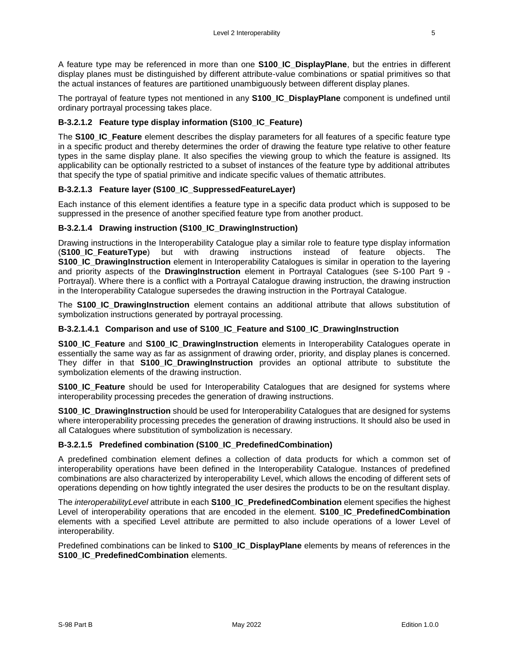A feature type may be referenced in more than one **S100\_IC\_DisplayPlane**, but the entries in different display planes must be distinguished by different attribute-value combinations or spatial primitives so that the actual instances of features are partitioned unambiguously between different display planes.

The portrayal of feature types not mentioned in any **S100\_IC\_DisplayPlane** component is undefined until ordinary portrayal processing takes place.

## **B-3.2.1.2 Feature type display information (S100\_IC\_Feature)**

The **S100\_IC\_Feature** element describes the display parameters for all features of a specific feature type in a specific product and thereby determines the order of drawing the feature type relative to other feature types in the same display plane. It also specifies the viewing group to which the feature is assigned. Its applicability can be optionally restricted to a subset of instances of the feature type by additional attributes that specify the type of spatial primitive and indicate specific values of thematic attributes.

## **B-3.2.1.3 Feature layer (S100\_IC\_SuppressedFeatureLayer)**

Each instance of this element identifies a feature type in a specific data product which is supposed to be suppressed in the presence of another specified feature type from another product.

## **B-3.2.1.4 Drawing instruction (S100\_IC\_DrawingInstruction)**

Drawing instructions in the Interoperability Catalogue play a similar role to feature type display information **(S100 IC FeatureType)** but with drawing instructions instead of feature objects. The **S100 IC DrawingInstruction** element in Interoperability Catalogues is similar in operation to the layering and priority aspects of the **DrawingInstruction** element in Portrayal Catalogues (see S-100 Part 9 - Portrayal). Where there is a conflict with a Portrayal Catalogue drawing instruction, the drawing instruction in the Interoperability Catalogue supersedes the drawing instruction in the Portrayal Catalogue.

The **S100\_IC\_DrawingInstruction** element contains an additional attribute that allows substitution of symbolization instructions generated by portrayal processing.

### **B-3.2.1.4.1 Comparison and use of S100\_IC\_Feature and S100\_IC\_DrawingInstruction**

**S100 IC Feature** and **S100 IC DrawingInstruction** elements in Interoperability Catalogues operate in essentially the same way as far as assignment of drawing order, priority, and display planes is concerned. They differ in that **S100\_IC\_DrawingInstruction** provides an optional attribute to substitute the symbolization elements of the drawing instruction.

**S100\_IC\_Feature** should be used for Interoperability Catalogues that are designed for systems where interoperability processing precedes the generation of drawing instructions.

**S100\_IC\_DrawingInstruction** should be used for Interoperability Catalogues that are designed for systems where interoperability processing precedes the generation of drawing instructions. It should also be used in all Catalogues where substitution of symbolization is necessary.

#### **B-3.2.1.5 Predefined combination (S100\_IC\_PredefinedCombination)**

A predefined combination element defines a collection of data products for which a common set of interoperability operations have been defined in the Interoperability Catalogue. Instances of predefined combinations are also characterized by interoperability Level, which allows the encoding of different sets of operations depending on how tightly integrated the user desires the products to be on the resultant display.

The *interoperabilityLevel* attribute in each **S100\_IC\_PredefinedCombination** element specifies the highest Level of interoperability operations that are encoded in the element. **S100\_IC\_PredefinedCombination** elements with a specified Level attribute are permitted to also include operations of a lower Level of interoperability.

Predefined combinations can be linked to **S100\_IC\_DisplayPlane** elements by means of references in the **S100 IC PredefinedCombination** elements.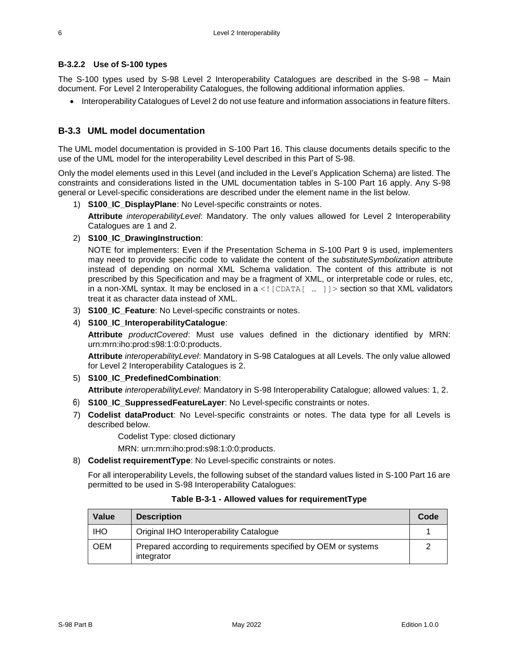#### <span id="page-11-0"></span>**B-3.2.2 Use of S-100 types**

The S-100 types used by S-98 Level 2 Interoperability Catalogues are described in the S-98 – Main document. For Level 2 Interoperability Catalogues, the following additional information applies.

• Interoperability Catalogues of Level 2 do not use feature and information associations in feature filters.

## <span id="page-11-1"></span>**B-3.3 UML model documentation**

The UML model documentation is provided in S-100 Part 16. This clause documents details specific to the use of the UML model for the interoperability Level described in this Part of S-98.

Only the model elements used in this Level (and included in the Level's Application Schema) are listed. The constraints and considerations listed in the UML documentation tables in S-100 Part 16 apply. Any S-98 general or Level-specific considerations are described under the element name in the list below.

1) **S100\_IC\_DisplayPlane**: No Level-specific constraints or notes.

**Attribute** *interoperabilityLevel*: Mandatory. The only values allowed for Level 2 Interoperability Catalogues are 1 and 2.

2) **S100\_IC\_DrawingInstruction**:

NOTE for implementers: Even if the Presentation Schema in S-100 Part 9 is used, implementers may need to provide specific code to validate the content of the *substituteSymbolization* attribute instead of depending on normal XML Schema validation. The content of this attribute is not prescribed by this Specification and may be a fragment of XML, or interpretable code or rules, etc, in a non-XML syntax. It may be enclosed in  $a \leq |CDATA|$  ...  $| \geq$  section so that XML validators treat it as character data instead of XML.

3) **S100 IC Feature**: No Level-specific constraints or notes.

#### 4) **S100\_IC\_InteroperabilityCatalogue**:

**Attribute** *productCovered*: Must use values defined in the dictionary identified by MRN: urn:mrn:iho:prod:s98:1:0:0:products.

**Attribute** *interoperabilityLevel*: Mandatory in S-98 Catalogues at all Levels. The only value allowed for Level 2 Interoperability Catalogues is 2.

- 5) **S100\_IC\_PredefinedCombination**: **Attribute** *interoperabilityLevel*: Mandatory in S-98 Interoperability Catalogue; allowed values: 1, 2.
- 6) **S100\_IC\_SuppressedFeatureLayer**: No Level-specific constraints or notes.
- 7) **Codelist dataProduct**: No Level-specific constraints or notes. The data type for all Levels is described below.

Codelist Type: closed dictionary

MRN: urn:mrn:iho:prod:s98:1:0:0:products.

8) **Codelist requirementType**: No Level-specific constraints or notes.

For all interoperability Levels, the following subset of the standard values listed in S-100 Part 16 are permitted to be used in S-98 Interoperability Catalogues:

| Value      | <b>Description</b>                                                           | Code |
|------------|------------------------------------------------------------------------------|------|
| <b>IHO</b> | Original IHO Interoperability Catalogue                                      |      |
| <b>OEM</b> | Prepared according to requirements specified by OEM or systems<br>integrator |      |

#### **Table B-3-1 - Allowed values for requirementType**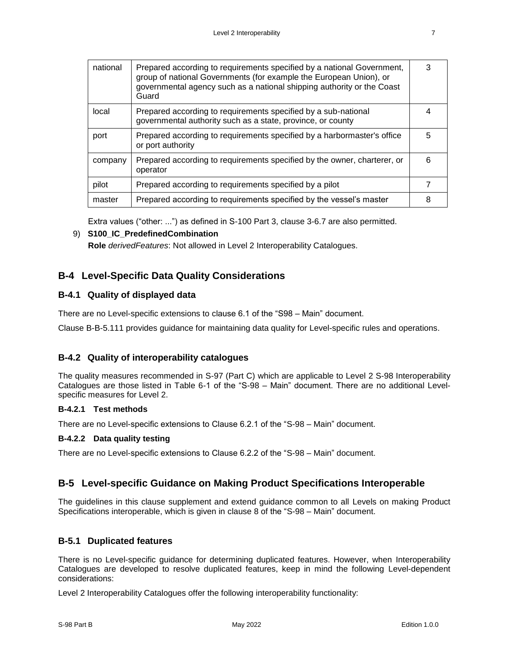| national | Prepared according to requirements specified by a national Government,<br>group of national Governments (for example the European Union), or<br>governmental agency such as a national shipping authority or the Coast<br>Guard | З |
|----------|---------------------------------------------------------------------------------------------------------------------------------------------------------------------------------------------------------------------------------|---|
| local    | Prepared according to requirements specified by a sub-national<br>governmental authority such as a state, province, or county                                                                                                   |   |
| port     | Prepared according to requirements specified by a harbormaster's office<br>or port authority                                                                                                                                    | 5 |
| company  | Prepared according to requirements specified by the owner, charterer, or<br>operator                                                                                                                                            | 6 |
| pilot    | Prepared according to requirements specified by a pilot                                                                                                                                                                         |   |
| master   | Prepared according to requirements specified by the vessel's master                                                                                                                                                             | 8 |

Extra values ("other: ...") as defined in S-100 Part 3, clause 3-6.7 are also permitted.

## 9) **S100\_IC\_PredefinedCombination**

**Role** *derivedFeatures*: Not allowed in Level 2 Interoperability Catalogues.

## <span id="page-12-0"></span>**B-4 Level-Specific Data Quality Considerations**

## <span id="page-12-1"></span>**B-4.1 Quality of displayed data**

There are no Level-specific extensions to clause 6.1 of the "S98 – Main" document.

Clause B-B-5.111 provides guidance for maintaining data quality for Level-specific rules and operations.

## <span id="page-12-2"></span>**B-4.2 Quality of interoperability catalogues**

The quality measures recommended in S-97 (Part C) which are applicable to Level 2 S-98 Interoperability Catalogues are those listed in Table 6-1 of the "S-98 – Main" document. There are no additional Levelspecific measures for Level 2.

#### <span id="page-12-3"></span>**B-4.2.1 Test methods**

There are no Level-specific extensions to Clause 6.2.1 of the "S-98 – Main" document.

#### <span id="page-12-4"></span>**B-4.2.2 Data quality testing**

There are no Level-specific extensions to Clause 6.2.2 of the "S-98 – Main" document.

## <span id="page-12-5"></span>**B-5 Level-specific Guidance on Making Product Specifications Interoperable**

The guidelines in this clause supplement and extend guidance common to all Levels on making Product Specifications interoperable, which is given in clause 8 of the "S-98 – Main" document.

## <span id="page-12-6"></span>**B-5.1 Duplicated features**

There is no Level-specific guidance for determining duplicated features. However, when Interoperability Catalogues are developed to resolve duplicated features, keep in mind the following Level-dependent considerations:

Level 2 Interoperability Catalogues offer the following interoperability functionality: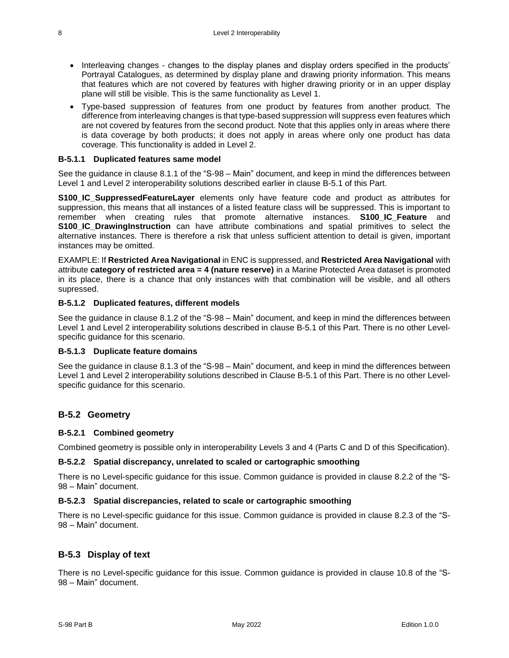- Interleaving changes changes to the display planes and display orders specified in the products' Portrayal Catalogues, as determined by display plane and drawing priority information. This means that features which are not covered by features with higher drawing priority or in an upper display plane will still be visible. This is the same functionality as Level 1.
- Type-based suppression of features from one product by features from another product. The difference from interleaving changes is that type-based suppression will suppress even features which are not covered by features from the second product. Note that this applies only in areas where there is data coverage by both products; it does not apply in areas where only one product has data coverage. This functionality is added in Level 2.

#### <span id="page-13-0"></span>**B-5.1.1 Duplicated features same model**

See the guidance in clause 8.1.1 of the "S-98 – Main" document, and keep in mind the differences between Level 1 and Level 2 interoperability solutions described earlier in clause B-5.1 of this Part.

**S100 IC SuppressedFeatureLayer** elements only have feature code and product as attributes for suppression, this means that all instances of a listed feature class will be suppressed. This is important to remember when creating rules that promote alternative instances. **S100 IC Feature** and **S100 IC DrawingInstruction** can have attribute combinations and spatial primitives to select the alternative instances. There is therefore a risk that unless sufficient attention to detail is given, important instances may be omitted.

EXAMPLE: If **Restricted Area Navigational** in ENC is suppressed, and **Restricted Area Navigational** with attribute **category of restricted area = 4 (nature reserve)** in a Marine Protected Area dataset is promoted in its place, there is a chance that only instances with that combination will be visible, and all others supressed.

#### <span id="page-13-1"></span>**B-5.1.2 Duplicated features, different models**

See the guidance in clause 8.1.2 of the "S-98 – Main" document, and keep in mind the differences between Level 1 and Level 2 interoperability solutions described in clause B-5.1 of this Part. There is no other Levelspecific guidance for this scenario.

#### <span id="page-13-2"></span>**B-5.1.3 Duplicate feature domains**

See the guidance in clause 8.1.3 of the "S-98 – Main" document, and keep in mind the differences between Level 1 and Level 2 interoperability solutions described in Clause B-5.1 of this Part. There is no other Levelspecific guidance for this scenario.

#### <span id="page-13-3"></span>**B-5.2 Geometry**

#### <span id="page-13-4"></span>**B-5.2.1 Combined geometry**

Combined geometry is possible only in interoperability Levels 3 and 4 (Parts C and D of this Specification).

#### <span id="page-13-5"></span>**B-5.2.2 Spatial discrepancy, unrelated to scaled or cartographic smoothing**

There is no Level-specific guidance for this issue. Common guidance is provided in clause 8.2.2 of the "S-98 – Main" document.

#### <span id="page-13-6"></span>**B-5.2.3 Spatial discrepancies, related to scale or cartographic smoothing**

There is no Level-specific guidance for this issue. Common guidance is provided in clause 8.2.3 of the "S-98 – Main" document.

#### <span id="page-13-7"></span>**B-5.3 Display of text**

There is no Level-specific guidance for this issue. Common guidance is provided in clause 10.8 of the "S-98 – Main" document.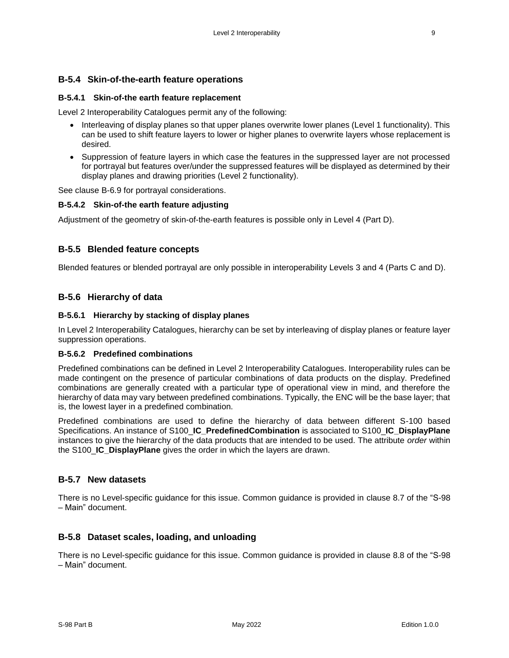## <span id="page-14-0"></span>**B-5.4 Skin-of-the-earth feature operations**

#### <span id="page-14-1"></span>**B-5.4.1 Skin-of-the earth feature replacement**

Level 2 Interoperability Catalogues permit any of the following:

- Interleaving of display planes so that upper planes overwrite lower planes (Level 1 functionality). This can be used to shift feature layers to lower or higher planes to overwrite layers whose replacement is desired.
- Suppression of feature layers in which case the features in the suppressed layer are not processed for portrayal but features over/under the suppressed features will be displayed as determined by their display planes and drawing priorities (Level 2 functionality).

See clause B-6.9 for portrayal considerations.

#### <span id="page-14-2"></span>**B-5.4.2 Skin-of-the earth feature adjusting**

Adjustment of the geometry of skin-of-the-earth features is possible only in Level 4 (Part D).

### <span id="page-14-3"></span>**B-5.5 Blended feature concepts**

Blended features or blended portrayal are only possible in interoperability Levels 3 and 4 (Parts C and D).

## <span id="page-14-4"></span>**B-5.6 Hierarchy of data**

#### <span id="page-14-5"></span>**B-5.6.1 Hierarchy by stacking of display planes**

In Level 2 Interoperability Catalogues, hierarchy can be set by interleaving of display planes or feature layer suppression operations.

#### <span id="page-14-6"></span>**B-5.6.2 Predefined combinations**

Predefined combinations can be defined in Level 2 Interoperability Catalogues. Interoperability rules can be made contingent on the presence of particular combinations of data products on the display. Predefined combinations are generally created with a particular type of operational view in mind, and therefore the hierarchy of data may vary between predefined combinations. Typically, the ENC will be the base layer; that is, the lowest layer in a predefined combination.

Predefined combinations are used to define the hierarchy of data between different S-100 based Specifications. An instance of S100\_**IC\_PredefinedCombination** is associated to S100\_**IC\_DisplayPlane** instances to give the hierarchy of the data products that are intended to be used. The attribute *order* within the S100\_**IC\_DisplayPlane** gives the order in which the layers are drawn.

#### <span id="page-14-7"></span>**B-5.7 New datasets**

There is no Level-specific guidance for this issue. Common guidance is provided in clause 8.7 of the "S-98 – Main" document.

## <span id="page-14-8"></span>**B-5.8 Dataset scales, loading, and unloading**

There is no Level-specific guidance for this issue. Common guidance is provided in clause 8.8 of the "S-98 – Main" document.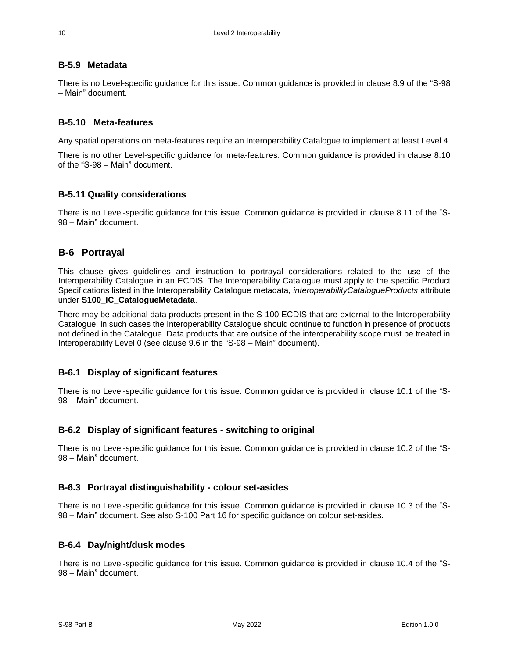## <span id="page-15-0"></span>**B-5.9 Metadata**

There is no Level-specific guidance for this issue. Common guidance is provided in clause 8.9 of the "S-98 – Main" document.

## <span id="page-15-1"></span>**B-5.10 Meta-features**

Any spatial operations on meta-features require an Interoperability Catalogue to implement at least Level 4.

There is no other Level-specific guidance for meta-features. Common guidance is provided in clause 8.10 of the "S-98 – Main" document.

## <span id="page-15-2"></span>**B-5.11 Quality considerations**

There is no Level-specific guidance for this issue. Common guidance is provided in clause 8.11 of the "S-98 – Main" document.

## <span id="page-15-3"></span>**B-6 Portrayal**

This clause gives guidelines and instruction to portrayal considerations related to the use of the Interoperability Catalogue in an ECDIS. The Interoperability Catalogue must apply to the specific Product Specifications listed in the Interoperability Catalogue metadata, *interoperabilityCatalogueProducts* attribute under **S100\_IC\_CatalogueMetadata**.

There may be additional data products present in the S-100 ECDIS that are external to the Interoperability Catalogue; in such cases the Interoperability Catalogue should continue to function in presence of products not defined in the Catalogue. Data products that are outside of the interoperability scope must be treated in Interoperability Level 0 (see clause 9.6 in the "S-98 – Main" document).

## <span id="page-15-4"></span>**B-6.1 Display of significant features**

There is no Level-specific guidance for this issue. Common guidance is provided in clause 10.1 of the "S-98 – Main" document.

## <span id="page-15-5"></span>**B-6.2 Display of significant features - switching to original**

There is no Level-specific guidance for this issue. Common guidance is provided in clause 10.2 of the "S-98 – Main" document.

#### <span id="page-15-6"></span>**B-6.3 Portrayal distinguishability - colour set-asides**

There is no Level-specific guidance for this issue. Common guidance is provided in clause 10.3 of the "S-98 – Main" document. See also S-100 Part 16 for specific guidance on colour set-asides.

#### <span id="page-15-7"></span>**B-6.4 Day/night/dusk modes**

There is no Level-specific guidance for this issue. Common guidance is provided in clause 10.4 of the "S-98 – Main" document.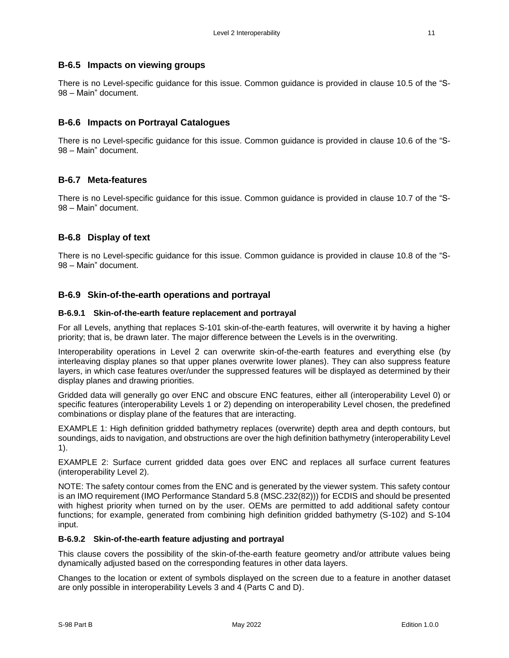### <span id="page-16-0"></span>**B-6.5 Impacts on viewing groups**

There is no Level-specific guidance for this issue. Common guidance is provided in clause 10.5 of the "S-98 – Main" document.

### <span id="page-16-1"></span>**B-6.6 Impacts on Portrayal Catalogues**

There is no Level-specific guidance for this issue. Common guidance is provided in clause 10.6 of the "S-98 – Main" document.

### <span id="page-16-2"></span>**B-6.7 Meta-features**

There is no Level-specific guidance for this issue. Common guidance is provided in clause 10.7 of the "S-98 – Main" document.

### <span id="page-16-3"></span>**B-6.8 Display of text**

There is no Level-specific guidance for this issue. Common guidance is provided in clause 10.8 of the "S-98 – Main" document.

### <span id="page-16-4"></span>**B-6.9 Skin-of-the-earth operations and portrayal**

#### <span id="page-16-5"></span>**B-6.9.1 Skin-of-the-earth feature replacement and portrayal**

For all Levels, anything that replaces S-101 skin-of-the-earth features, will overwrite it by having a higher priority; that is, be drawn later. The major difference between the Levels is in the overwriting.

Interoperability operations in Level 2 can overwrite skin-of-the-earth features and everything else (by interleaving display planes so that upper planes overwrite lower planes). They can also suppress feature layers, in which case features over/under the suppressed features will be displayed as determined by their display planes and drawing priorities.

Gridded data will generally go over ENC and obscure ENC features, either all (interoperability Level 0) or specific features (interoperability Levels 1 or 2) depending on interoperability Level chosen, the predefined combinations or display plane of the features that are interacting.

EXAMPLE 1: High definition gridded bathymetry replaces (overwrite) depth area and depth contours, but soundings, aids to navigation, and obstructions are over the high definition bathymetry (interoperability Level 1).

EXAMPLE 2: Surface current gridded data goes over ENC and replaces all surface current features (interoperability Level 2).

NOTE: The safety contour comes from the ENC and is generated by the viewer system. This safety contour is an IMO requirement (IMO Performance Standard 5.8 (MSC.232(82))) for ECDIS and should be presented with highest priority when turned on by the user. OEMs are permitted to add additional safety contour functions; for example, generated from combining high definition gridded bathymetry (S-102) and S-104 input.

#### <span id="page-16-6"></span>**B-6.9.2 Skin-of-the-earth feature adjusting and portrayal**

This clause covers the possibility of the skin-of-the-earth feature geometry and/or attribute values being dynamically adjusted based on the corresponding features in other data layers.

Changes to the location or extent of symbols displayed on the screen due to a feature in another dataset are only possible in interoperability Levels 3 and 4 (Parts C and D).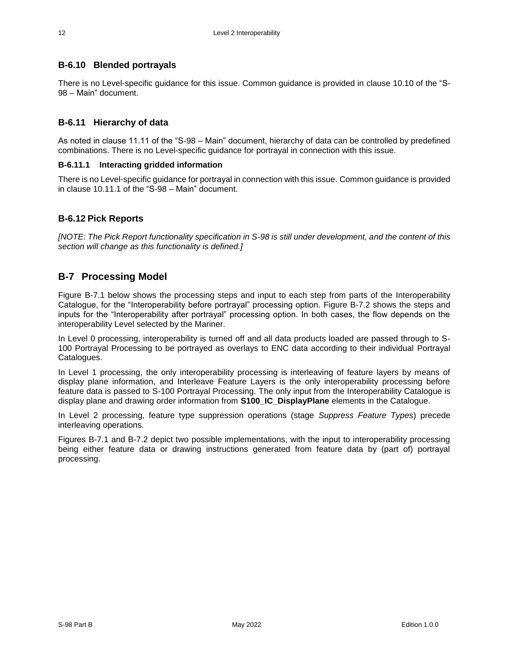## <span id="page-17-0"></span>**B-6.10 Blended portrayals**

There is no Level-specific guidance for this issue. Common guidance is provided in clause 10.10 of the "S-98 – Main" document.

## <span id="page-17-1"></span>**B-6.11 Hierarchy of data**

As noted in clause 11.11 of the "S-98 – Main" document, hierarchy of data can be controlled by predefined combinations. There is no Level-specific guidance for portrayal in connection with this issue.

#### <span id="page-17-2"></span>**B-6.11.1 Interacting gridded information**

There is no Level-specific guidance for portrayal in connection with this issue. Common guidance is provided in clause 10.11.1 of the "S-98 – Main" document.

## <span id="page-17-3"></span>**B-6.12 Pick Reports**

*[NOTE: The Pick Report functionality specification in S-98 is still under development, and the content of this section will change as this functionality is defined.]*

## <span id="page-17-4"></span>**B-7 Processing Model**

Figure B-7.1 below shows the processing steps and input to each step from parts of the Interoperability Catalogue, for the "Interoperability before portrayal" processing option. Figure B-7.2 shows the steps and inputs for the "Interoperability after portrayal" processing option. In both cases, the flow depends on the interoperability Level selected by the Mariner.

In Level 0 processing, interoperability is turned off and all data products loaded are passed through to S-100 Portrayal Processing to be portrayed as overlays to ENC data according to their individual Portrayal Catalogues.

In Level 1 processing, the only interoperability processing is interleaving of feature layers by means of display plane information, and Interleave Feature Layers is the only interoperability processing before feature data is passed to S-100 Portrayal Processing. The only input from the Interoperability Catalogue is display plane and drawing order information from **S100\_IC\_DisplayPlane** elements in the Catalogue.

In Level 2 processing, feature type suppression operations (stage *Suppress Feature Types*) precede interleaving operations.

Figures B-7.1 and B-7.2 depict two possible implementations, with the input to interoperability processing being either feature data or drawing instructions generated from feature data by (part of) portrayal processing.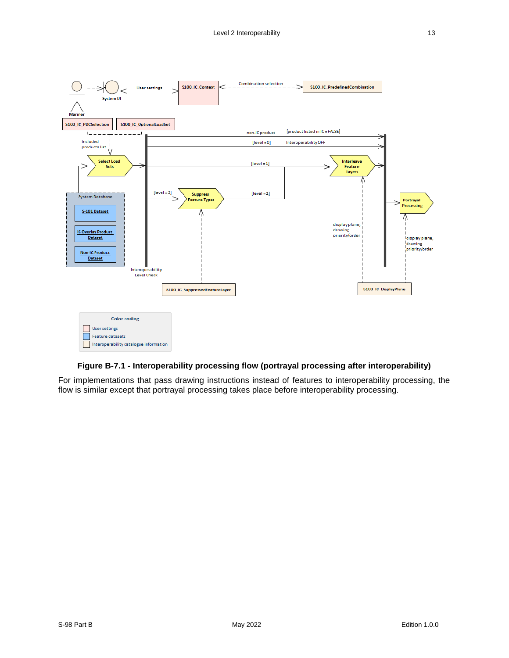

## **Figure B-7.1 - Interoperability processing flow (portrayal processing after interoperability)**

For implementations that pass drawing instructions instead of features to interoperability processing, the flow is similar except that portrayal processing takes place before interoperability processing.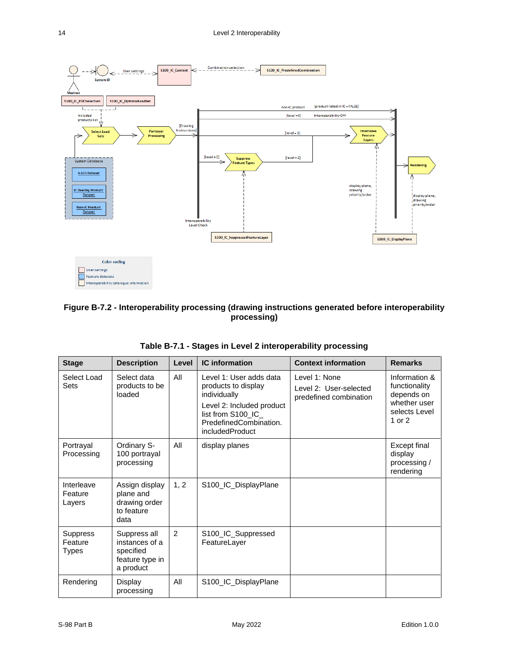

## **Figure B-7.2 - Interoperability processing (drawing instructions generated before interoperability processing)**

| <b>Stage</b>                        | <b>Description</b>                                                          | Level | <b>IC</b> information                                                                                                                                                | <b>Context information</b>                                        | <b>Remarks</b>                                                                            |
|-------------------------------------|-----------------------------------------------------------------------------|-------|----------------------------------------------------------------------------------------------------------------------------------------------------------------------|-------------------------------------------------------------------|-------------------------------------------------------------------------------------------|
| Select Load<br>Sets                 | Select data<br>products to be<br>loaded                                     | All   | Level 1: User adds data<br>products to display<br>individually<br>Level 2: Included product<br>list from S100 IC<br>PredefinedCombination.<br><i>includedProduct</i> | Level 1: None<br>Level 2: User-selected<br>predefined combination | Information &<br>functionality<br>depends on<br>whether user<br>selects Level<br>1 or $2$ |
| Portrayal<br>Processing             | Ordinary S-<br>100 portrayal<br>processing                                  | All   | display planes                                                                                                                                                       |                                                                   | Except final<br>display<br>processing /<br>rendering                                      |
| Interleave<br>Feature<br>Layers     | Assign display<br>plane and<br>drawing order<br>to feature<br>data          | 1, 2  | S100_IC_DisplayPlane                                                                                                                                                 |                                                                   |                                                                                           |
| <b>Suppress</b><br>Feature<br>Types | Suppress all<br>instances of a<br>specified<br>feature type in<br>a product | 2     | S100_IC_Suppressed<br>FeatureLayer                                                                                                                                   |                                                                   |                                                                                           |
| Rendering                           | Display<br>processing                                                       | All   | S100_IC_DisplayPlane                                                                                                                                                 |                                                                   |                                                                                           |

**Table B-7.1 - Stages in Level 2 interoperability processing**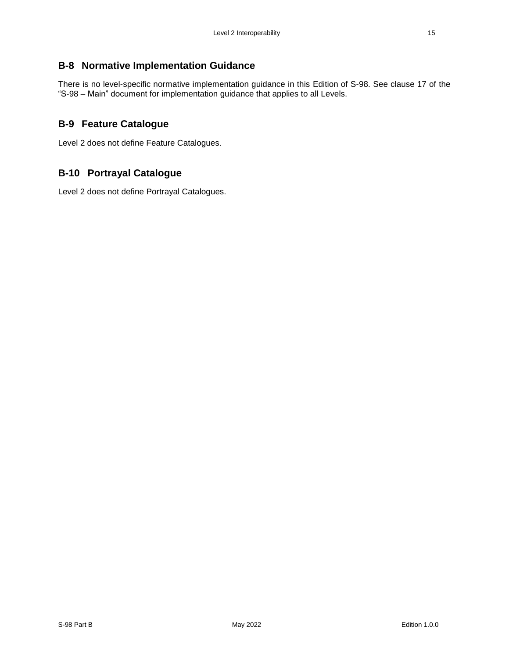## <span id="page-20-0"></span>**B-8 Normative Implementation Guidance**

There is no level-specific normative implementation guidance in this Edition of S-98. See clause 17 of the "S-98 – Main" document for implementation guidance that applies to all Levels.

## <span id="page-20-1"></span>**B-9 Feature Catalogue**

Level 2 does not define Feature Catalogues.

## <span id="page-20-2"></span>**B-10 Portrayal Catalogue**

Level 2 does not define Portrayal Catalogues.